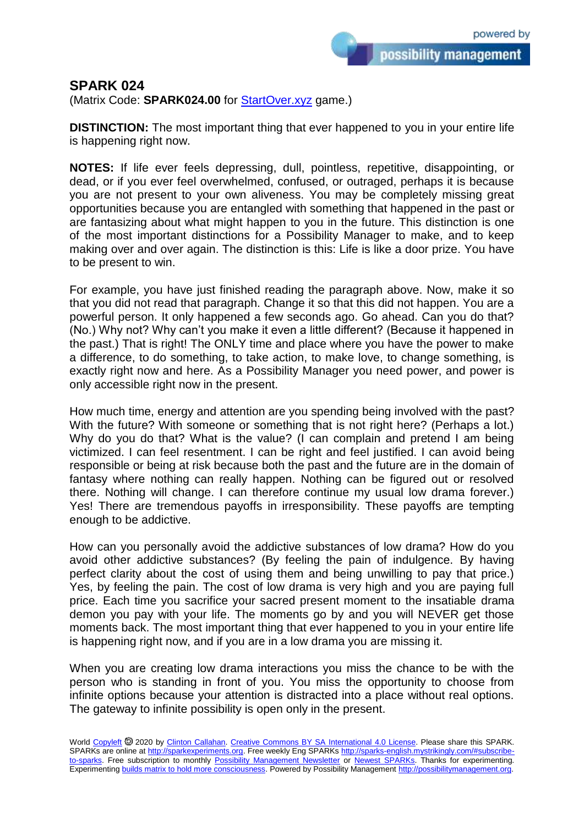## **SPARK 024**

(Matrix Code: **SPARK024.00** for **StartOver.xyz** game.)

**DISTINCTION:** The most important thing that ever happened to you in your entire life is happening right now.

**NOTES:** If life ever feels depressing, dull, pointless, repetitive, disappointing, or dead, or if you ever feel overwhelmed, confused, or outraged, perhaps it is because you are not present to your own aliveness. You may be completely missing great opportunities because you are entangled with something that happened in the past or are fantasizing about what might happen to you in the future. This distinction is one of the most important distinctions for a Possibility Manager to make, and to keep making over and over again. The distinction is this: Life is like a door prize. You have to be present to win.

For example, you have just finished reading the paragraph above. Now, make it so that you did not read that paragraph. Change it so that this did not happen. You are a powerful person. It only happened a few seconds ago. Go ahead. Can you do that? (No.) Why not? Why can't you make it even a little different? (Because it happened in the past.) That is right! The ONLY time and place where you have the power to make a difference, to do something, to take action, to make love, to change something, is exactly right now and here. As a Possibility Manager you need power, and power is only accessible right now in the present.

How much time, energy and attention are you spending being involved with the past? With the future? With someone or something that is not right here? (Perhaps a lot.) Why do you do that? What is the value? (I can complain and pretend I am being victimized. I can feel resentment. I can be right and feel justified. I can avoid being responsible or being at risk because both the past and the future are in the domain of fantasy where nothing can really happen. Nothing can be figured out or resolved there. Nothing will change. I can therefore continue my usual low drama forever.) Yes! There are tremendous payoffs in irresponsibility. These payoffs are tempting enough to be addictive.

How can you personally avoid the addictive substances of low drama? How do you avoid other addictive substances? (By feeling the pain of indulgence. By having perfect clarity about the cost of using them and being unwilling to pay that price.) Yes, by feeling the pain. The cost of low drama is very high and you are paying full price. Each time you sacrifice your sacred present moment to the insatiable drama demon you pay with your life. The moments go by and you will NEVER get those moments back. The most important thing that ever happened to you in your entire life is happening right now, and if you are in a low drama you are missing it.

When you are creating low drama interactions you miss the chance to be with the person who is standing in front of you. You miss the opportunity to choose from infinite options because your attention is distracted into a place without real options. The gateway to infinite possibility is open only in the present.

World [Copyleft](https://en.wikipedia.org/wiki/Copyleft) <sup>®</sup> 2020 by [Clinton Callahan.](http://clintoncallahan.mystrikingly.com/) [Creative Commons BY SA International 4.0 License.](https://creativecommons.org/licenses/by-sa/4.0/) Please share this SPARK. SPARKs are online at [http://sparkexperiments.org.](http://sparks-english.mystrikingly.com/) Free weekly Eng SPARKs [http://sparks-english.mystrikingly.com/#subscribe](http://sparks-english.mystrikingly.com/#subscribe-to-sparks)[to-sparks.](http://sparks-english.mystrikingly.com/#subscribe-to-sparks) Free subscription to monthly [Possibility Management Newsletter](https://possibilitymanagement.org/news/) or [Newest SPARKs.](https://www.clintoncallahan.org/newsletter-1) Thanks for experimenting. Experimentin[g builds matrix to hold more consciousness.](http://spaceport.mystrikingly.com/) Powered by Possibility Managemen[t http://possibilitymanagement.org.](http://possibilitymanagement.org/)